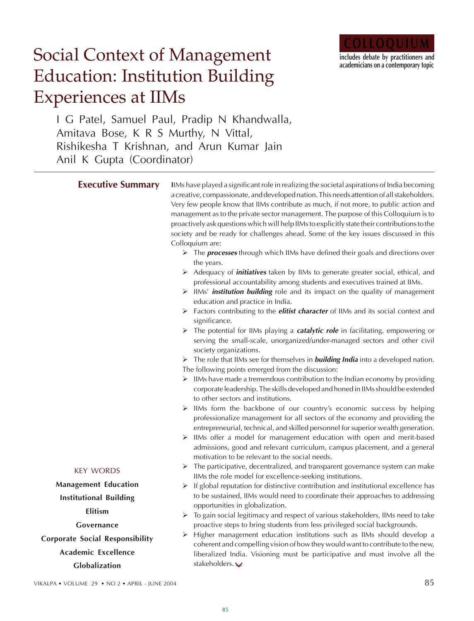

# Social Context of Management Education: Institution Building Experiences at IIMs

I G Patel, Samuel Paul, Pradip N Khandwalla, Amitava Bose, K R S Murthy, N Vittal, Rishikesha T Krishnan, and Arun Kumar Jain Anil K Gupta (Coordinator)

| <b>Executive Summary</b>               | IlMs have played a significant role in realizing the societal aspirations of India becoming<br>a creative, compassionate, and developed nation. This needs attention of all stakeholders.<br>Very few people know that IIMs contribute as much, if not more, to public action and<br>management as to the private sector management. The purpose of this Colloquium is to<br>proactively ask questions which will help IIMs to explicitly state their contributions to the<br>society and be ready for challenges ahead. Some of the key issues discussed in this<br>Colloquium are:<br>$\triangleright$ The <b>processes</b> through which IIMs have defined their goals and directions over<br>the years.<br>> Adequacy of <i>initiatives</i> taken by IIMs to generate greater social, ethical, and<br>professional accountability among students and executives trained at IIMs.<br>> IIMs' <i>institution building</i> role and its impact on the quality of management<br>education and practice in India.<br>> Factors contributing to the <i>elitist character</i> of IIMs and its social context and<br>significance.<br>$\triangleright$ The potential for IIMs playing a <b>catalytic role</b> in facilitating, empowering or<br>serving the small-scale, unorganized/under-managed sectors and other civil<br>society organizations.<br>$\triangleright$ The role that IIMs see for themselves in <b>building India</b> into a developed nation.<br>The following points emerged from the discussion:<br>IIMs have made a tremendous contribution to the Indian economy by providing<br>corporate leadership. The skills developed and honed in IIMs should be extended<br>to other sectors and institutions.<br>IIMs form the backbone of our country's economic success by helping<br>➤<br>professionalize management for all sectors of the economy and providing the<br>entrepreneurial, technical, and skilled personnel for superior wealth generation.<br>> IIMs offer a model for management education with open and merit-based<br>admissions, good and relevant curriculum, campus placement, and a general<br>motivation to be relevant to the social needs. |
|----------------------------------------|-------------------------------------------------------------------------------------------------------------------------------------------------------------------------------------------------------------------------------------------------------------------------------------------------------------------------------------------------------------------------------------------------------------------------------------------------------------------------------------------------------------------------------------------------------------------------------------------------------------------------------------------------------------------------------------------------------------------------------------------------------------------------------------------------------------------------------------------------------------------------------------------------------------------------------------------------------------------------------------------------------------------------------------------------------------------------------------------------------------------------------------------------------------------------------------------------------------------------------------------------------------------------------------------------------------------------------------------------------------------------------------------------------------------------------------------------------------------------------------------------------------------------------------------------------------------------------------------------------------------------------------------------------------------------------------------------------------------------------------------------------------------------------------------------------------------------------------------------------------------------------------------------------------------------------------------------------------------------------------------------------------------------------------------------------------------------------------------------------------------------------------------------------------------------------------|
| <b>KEY WORDS</b>                       | The participative, decentralized, and transparent governance system can make<br>➤<br>IIMs the role model for excellence-seeking institutions.                                                                                                                                                                                                                                                                                                                                                                                                                                                                                                                                                                                                                                                                                                                                                                                                                                                                                                                                                                                                                                                                                                                                                                                                                                                                                                                                                                                                                                                                                                                                                                                                                                                                                                                                                                                                                                                                                                                                                                                                                                       |
| <b>Management Education</b>            | If global reputation for distinctive contribution and institutional excellence has<br>➤                                                                                                                                                                                                                                                                                                                                                                                                                                                                                                                                                                                                                                                                                                                                                                                                                                                                                                                                                                                                                                                                                                                                                                                                                                                                                                                                                                                                                                                                                                                                                                                                                                                                                                                                                                                                                                                                                                                                                                                                                                                                                             |
| <b>Institutional Building</b>          | to be sustained, IIMs would need to coordinate their approaches to addressing                                                                                                                                                                                                                                                                                                                                                                                                                                                                                                                                                                                                                                                                                                                                                                                                                                                                                                                                                                                                                                                                                                                                                                                                                                                                                                                                                                                                                                                                                                                                                                                                                                                                                                                                                                                                                                                                                                                                                                                                                                                                                                       |
| Elitism                                | opportunities in globalization.<br>> To gain social legitimacy and respect of various stakeholders, IIMs need to take                                                                                                                                                                                                                                                                                                                                                                                                                                                                                                                                                                                                                                                                                                                                                                                                                                                                                                                                                                                                                                                                                                                                                                                                                                                                                                                                                                                                                                                                                                                                                                                                                                                                                                                                                                                                                                                                                                                                                                                                                                                               |
| Governance                             | proactive steps to bring students from less privileged social backgrounds.                                                                                                                                                                                                                                                                                                                                                                                                                                                                                                                                                                                                                                                                                                                                                                                                                                                                                                                                                                                                                                                                                                                                                                                                                                                                                                                                                                                                                                                                                                                                                                                                                                                                                                                                                                                                                                                                                                                                                                                                                                                                                                          |
| <b>Corporate Social Responsibility</b> | Higher management education institutions such as IIMs should develop a<br>➤                                                                                                                                                                                                                                                                                                                                                                                                                                                                                                                                                                                                                                                                                                                                                                                                                                                                                                                                                                                                                                                                                                                                                                                                                                                                                                                                                                                                                                                                                                                                                                                                                                                                                                                                                                                                                                                                                                                                                                                                                                                                                                         |
| <b>Academic Excellence</b>             | coherent and compelling vision of how they would want to contribute to the new,<br>liberalized India. Visioning must be participative and must involve all the                                                                                                                                                                                                                                                                                                                                                                                                                                                                                                                                                                                                                                                                                                                                                                                                                                                                                                                                                                                                                                                                                                                                                                                                                                                                                                                                                                                                                                                                                                                                                                                                                                                                                                                                                                                                                                                                                                                                                                                                                      |
| Clobalization                          | stakeholders. $\vee$                                                                                                                                                                                                                                                                                                                                                                                                                                                                                                                                                                                                                                                                                                                                                                                                                                                                                                                                                                                                                                                                                                                                                                                                                                                                                                                                                                                                                                                                                                                                                                                                                                                                                                                                                                                                                                                                                                                                                                                                                                                                                                                                                                |

**Globalization**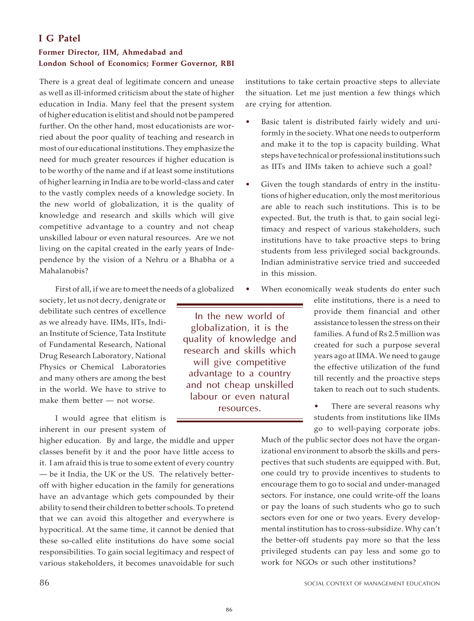## **I G Patel**

## **Former Director, IIM, Ahmedabad and London School of Economics; Former Governor, RBI**

There is a great deal of legitimate concern and unease as well as ill-informed criticism about the state of higher education in India. Many feel that the present system of higher education is elitist and should not be pampered further. On the other hand, most educationists are worried about the poor quality of teaching and research in most of our educational institutions. They emphasize the need for much greater resources if higher education is to be worthy of the name and if at least some institutions of higher learning in India are to be world-class and cater to the vastly complex needs of a knowledge society. In the new world of globalization, it is the quality of knowledge and research and skills which will give competitive advantage to a country and not cheap unskilled labour or even natural resources. Are we not living on the capital created in the early years of Independence by the vision of a Nehru or a Bhabha or a Mahalanobis?

First of all, if we are to meet the needs of a globalized

society, let us not decry, denigrate or debilitate such centres of excellence as we already have. IIMs, IITs, Indian Institute of Science, Tata Institute of Fundamental Research, National Drug Research Laboratory, National Physics or Chemical Laboratories and many others are among the best in the world. We have to strive to make them better — not worse.

I would agree that elitism is inherent in our present system of

higher education. By and large, the middle and upper classes benefit by it and the poor have little access to it. I am afraid this is true to some extent of every country — be it India, the UK or the US. The relatively betteroff with higher education in the family for generations have an advantage which gets compounded by their ability to send their children to better schools. To pretend that we can avoid this altogether and everywhere is hypocritical. At the same time, it cannot be denied that these so-called elite institutions do have some social responsibilities. To gain social legitimacy and respect of various stakeholders, it becomes unavoidable for such institutions to take certain proactive steps to alleviate the situation. Let me just mention a few things which are crying for attention.

- Basic talent is distributed fairly widely and uniformly in the society. What one needs to outperform and make it to the top is capacity building. What steps have technical or professional institutions such as IITs and IIMs taken to achieve such a goal?
- Given the tough standards of entry in the institutions of higher education, only the most meritorious are able to reach such institutions. This is to be expected. But, the truth is that, to gain social legitimacy and respect of various stakeholders, such institutions have to take proactive steps to bring students from less privileged social backgrounds. Indian administrative service tried and succeeded in this mission.
- When economically weak students do enter such

elite institutions, there is a need to provide them financial and other assistance to lessen the stress on their families. A fund of Rs 2.5 million was created for such a purpose several years ago at IIMA. We need to gauge the effective utilization of the fund till recently and the proactive steps taken to reach out to such students.

There are several reasons why students from institutions like IIMs go to well-paying corporate jobs.

Much of the public sector does not have the organizational environment to absorb the skills and perspectives that such students are equipped with. But, one could try to provide incentives to students to encourage them to go to social and under-managed sectors. For instance, one could write-off the loans or pay the loans of such students who go to such sectors even for one or two years. Every developmental institution has to cross-subsidize. Why can't the better-off students pay more so that the less privileged students can pay less and some go to work for NGOs or such other institutions?

In the new world of globalization, it is the quality of knowledge and research and skills which will give competitive advantage to a country and not cheap unskilled labour or even natural resources.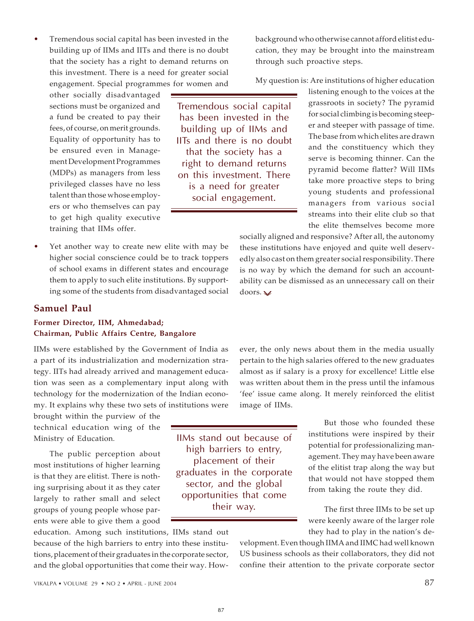Tremendous social capital has been invested in the building up of IIMs and IITs and there is no doubt that the society has a right to demand returns on this investment. There is a need for greater social engagement. Special programmes for women and

other socially disadvantaged sections must be organized and a fund be created to pay their fees, of course, on merit grounds. Equality of opportunity has to be ensured even in Management Development Programmes (MDPs) as managers from less privileged classes have no less talent than those whose employers or who themselves can pay to get high quality executive training that IIMs offer.

Tremendous social capital has been invested in the building up of IIMs and IITs and there is no doubt that the society has a right to demand returns on this investment. There is a need for greater social engagement.

background who otherwise cannot afford elitist education, they may be brought into the mainstream through such proactive steps.

My question is: Are institutions of higher education

listening enough to the voices at the grassroots in society? The pyramid for social climbing is becoming steeper and steeper with passage of time. The base from which elites are drawn and the constituency which they serve is becoming thinner. Can the pyramid become flatter? Will IIMs take more proactive steps to bring young students and professional managers from various social streams into their elite club so that the elite themselves become more

socially aligned and responsive? After all, the autonomy these institutions have enjoyed and quite well deservedly also cast on them greater social responsibility. There is no way by which the demand for such an accountability can be dismissed as an unnecessary call on their doors.

#### **Samuel Paul**

## **Former Director, IIM, Ahmedabad; Chairman, Public Affairs Centre, Bangalore**

IIMs were established by the Government of India as a part of its industrialization and modernization strategy. IITs had already arrived and management education was seen as a complementary input along with technology for the modernization of the Indian economy. It explains why these two sets of institutions were

Yet another way to create new elite with may be higher social conscience could be to track toppers of school exams in different states and encourage them to apply to such elite institutions. By supporting some of the students from disadvantaged social

brought within the purview of the technical education wing of the Ministry of Education*.*

The public perception about most institutions of higher learning is that they are elitist. There is nothing surprising about it as they cater largely to rather small and select groups of young people whose parents were able to give them a good

education. Among such institutions, IIMs stand out because of the high barriers to entry into these institutions, placement of their graduates in the corporate sector, and the global opportunities that come their way. However, the only news about them in the media usually pertain to the high salaries offered to the new graduates almost as if salary is a proxy for excellence! Little else was written about them in the press until the infamous 'fee' issue came along. It merely reinforced the elitist image of IIMs.

> But those who founded these institutions were inspired by their potential for professionalizing management. They may have been aware of the elitist trap along the way but that would not have stopped them from taking the route they did.

> The first three IIMs to be set up were keenly aware of the larger role they had to play in the nation's de-

velopment. Even though IIMA and IIMC had well known US business schools as their collaborators, they did not confine their attention to the private corporate sector

87

IIMs stand out because of high barriers to entry, placement of their graduates in the corporate sector, and the global opportunities that come their way.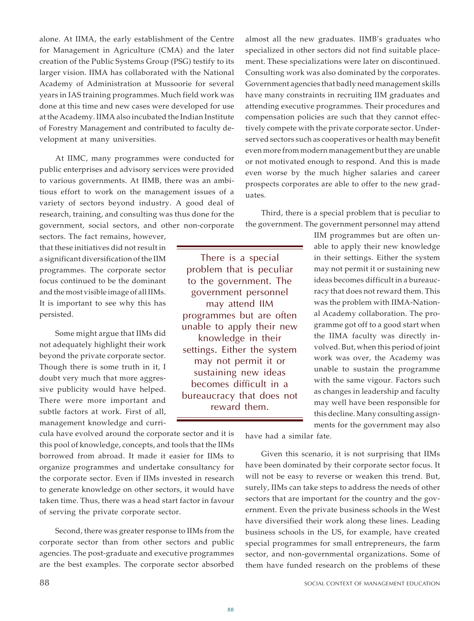alone. At IIMA, the early establishment of the Centre for Management in Agriculture (CMA) and the later creation of the Public Systems Group (PSG) testify to its larger vision. IIMA has collaborated with the National Academy of Administration at Mussoorie for several years in IAS training programmes. Much field work was done at this time and new cases were developed for use at the Academy. IIMA also incubated the Indian Institute of Forestry Management and contributed to faculty development at many universities.

At IIMC, many programmes were conducted for public enterprises and advisory services were provided to various governments. At IIMB, there was an ambitious effort to work on the management issues of a variety of sectors beyond industry. A good deal of research, training, and consulting was thus done for the government, social sectors, and other non-corporate

sectors. The fact remains, however, that these initiatives did not result in a significant diversification of the IIM programmes. The corporate sector focus continued to be the dominant and the most visible image of all IIMs. It is important to see why this has persisted.

Some might argue that IIMs did not adequately highlight their work beyond the private corporate sector. Though there is some truth in it, I doubt very much that more aggressive publicity would have helped. There were more important and subtle factors at work. First of all, management knowledge and curri-

cula have evolved around the corporate sector and it is this pool of knowledge, concepts, and tools that the IIMs borrowed from abroad. It made it easier for IIMs to organize programmes and undertake consultancy for the corporate sector. Even if IIMs invested in research to generate knowledge on other sectors, it would have taken time. Thus, there was a head start factor in favour of serving the private corporate sector.

Second, there was greater response to IIMs from the corporate sector than from other sectors and public agencies. The post-graduate and executive programmes are the best examples. The corporate sector absorbed

almost all the new graduates. IIMB's graduates who specialized in other sectors did not find suitable placement. These specializations were later on discontinued. Consulting work was also dominated by the corporates. Government agencies that badly need management skills have many constraints in recruiting IIM graduates and attending executive programmes. Their procedures and compensation policies are such that they cannot effectively compete with the private corporate sector. Underserved sectors such as cooperatives or health may benefit even more from modern management but they are unable or not motivated enough to respond. And this is made even worse by the much higher salaries and career prospects corporates are able to offer to the new graduates.

Third, there is a special problem that is peculiar to the government. The government personnel may attend

There is a special problem that is peculiar to the government. The government personnel may attend IIM programmes but are often unable to apply their new knowledge in their settings. Either the system may not permit it or sustaining new ideas becomes difficult in a bureaucracy that does not reward them.

IIM programmes but are often unable to apply their new knowledge in their settings. Either the system may not permit it or sustaining new ideas becomes difficult in a bureaucracy that does not reward them. This was the problem with IIMA-National Academy collaboration. The programme got off to a good start when the IIMA faculty was directly involved. But, when this period of joint work was over, the Academy was unable to sustain the programme with the same vigour. Factors such as changes in leadership and faculty may well have been responsible for this decline. Many consulting assignments for the government may also

have had a similar fate.

Given this scenario, it is not surprising that IIMs have been dominated by their corporate sector focus. It will not be easy to reverse or weaken this trend. But, surely, IIMs can take steps to address the needs of other sectors that are important for the country and the government. Even the private business schools in the West have diversified their work along these lines. Leading business schools in the US, for example, have created special programmes for small entrepreneurs, the farm sector, and non-governmental organizations. Some of them have funded research on the problems of these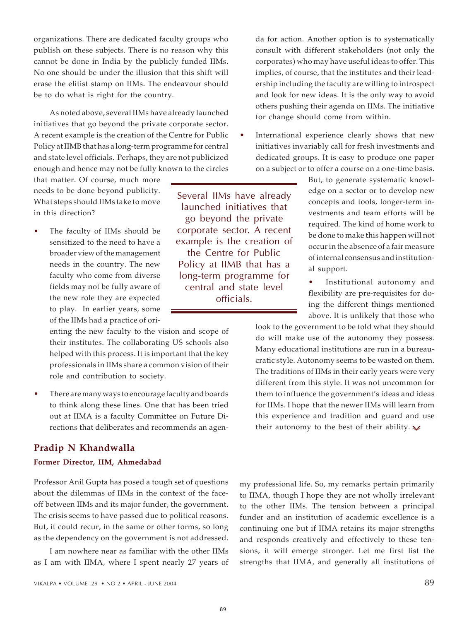organizations. There are dedicated faculty groups who publish on these subjects. There is no reason why this cannot be done in India by the publicly funded IIMs. No one should be under the illusion that this shift will erase the elitist stamp on IIMs. The endeavour should be to do what is right for the country.

As noted above, several IIMs have already launched initiatives that go beyond the private corporate sector. A recent example is the creation of the Centre for Public Policy at IIMB that has a long-term programme for central and state level officials. Perhaps, they are not publicized enough and hence may not be fully known to the circles

that matter. Of course, much more needs to be done beyond publicity. What steps should IIMs take to move in this direction?

• The faculty of IIMs should be sensitized to the need to have a broader view of the management needs in the country. The new faculty who come from diverse fields may not be fully aware of the new role they are expected to play. In earlier years, some of the IIMs had a practice of ori-

> enting the new faculty to the vision and scope of their institutes. The collaborating US schools also helped with this process. It is important that the key professionals in IIMs share a common vision of their role and contribution to society.

• There are many ways to encourage faculty and boards to think along these lines. One that has been tried out at IIMA is a faculty Committee on Future Directions that deliberates and recommends an agen-

## **Pradip N Khandwalla**

## **Former Director, IIM, Ahmedabad**

Professor Anil Gupta has posed a tough set of questions about the dilemmas of IIMs in the context of the faceoff between IIMs and its major funder, the government. The crisis seems to have passed due to political reasons. But, it could recur, in the same or other forms, so long as the dependency on the government is not addressed.

I am nowhere near as familiar with the other IIMs as I am with IIMA, where I spent nearly 27 years of

Several IIMs have already launched initiatives that go beyond the private corporate sector. A recent example is the creation of the Centre for Public Policy at IIMB that has a long-term programme for central and state level officials.

da for action. Another option is to systematically consult with different stakeholders (not only the corporates) who may have useful ideas to offer. This implies, of course, that the institutes and their leadership including the faculty are willing to introspect and look for new ideas. It is the only way to avoid others pushing their agenda on IIMs. The initiative for change should come from within.

International experience clearly shows that new initiatives invariably call for fresh investments and dedicated groups. It is easy to produce one paper on a subject or to offer a course on a one-time basis.

> But, to generate systematic knowledge on a sector or to develop new concepts and tools, longer-term investments and team efforts will be required. The kind of home work to be done to make this happen will not occur in the absence of a fair measure of internal consensus and institutional support.

> Institutional autonomy and flexibility are pre-requisites for doing the different things mentioned above. It is unlikely that those who

look to the government to be told what they should do will make use of the autonomy they possess. Many educational institutions are run in a bureaucratic style. Autonomy seems to be wasted on them. The traditions of IIMs in their early years were very different from this style. It was not uncommon for them to influence the government's ideas and ideas for IIMs. I hope that the newer IIMs will learn from this experience and tradition and guard and use their autonomy to the best of their ability.  $\blacktriangleright$ 

my professional life. So, my remarks pertain primarily to IIMA, though I hope they are not wholly irrelevant to the other IIMs. The tension between a principal funder and an institution of academic excellence is a continuing one but if IIMA retains its major strengths and responds creatively and effectively to these tensions, it will emerge stronger. Let me first list the strengths that IIMA, and generally all institutions of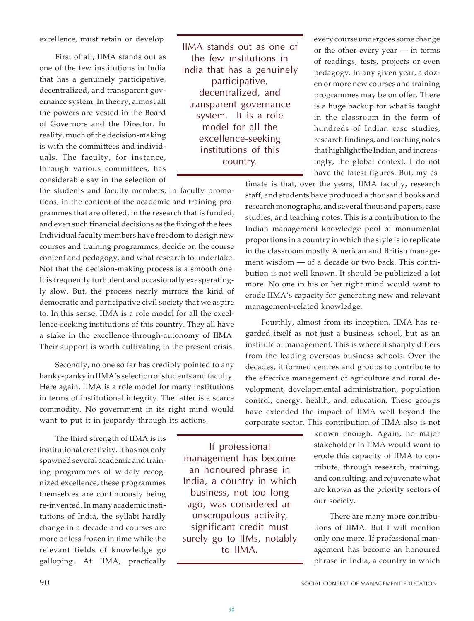excellence, must retain or develop.

First of all, IIMA stands out as one of the few institutions in India that has a genuinely participative, decentralized, and transparent governance system. In theory, almost all the powers are vested in the Board of Governors and the Director. In reality, much of the decision-making is with the committees and individuals. The faculty, for instance, through various committees, has considerable say in the selection of IIMA stands out as one of the few institutions in India that has a genuinely participative, decentralized, and transparent governance system. It is a role model for all the excellence-seeking institutions of this country.

every course undergoes some change or the other every year — in terms of readings, tests, projects or even pedagogy. In any given year, a dozen or more new courses and training programmes may be on offer. There is a huge backup for what is taught in the classroom in the form of hundreds of Indian case studies, research findings, and teaching notes that highlight the Indian, and increasingly, the global context. I do not have the latest figures. But, my es-

timate is that, over the years, IIMA faculty, research staff, and students have produced a thousand books and research monographs, and several thousand papers, case studies, and teaching notes. This is a contribution to the Indian management knowledge pool of monumental proportions in a country in which the style is to replicate in the classroom mostly American and British management wisdom — of a decade or two back. This contribution is not well known. It should be publicized a lot more. No one in his or her right mind would want to erode IIMA's capacity for generating new and relevant management-related knowledge.

Fourthly, almost from its inception, IIMA has regarded itself as not just a business school, but as an institute of management. This is where it sharply differs from the leading overseas business schools. Over the decades, it formed centres and groups to contribute to the effective management of agriculture and rural development, developmental administration, population control, energy, health, and education. These groups have extended the impact of IIMA well beyond the corporate sector. This contribution of IIMA also is not

> known enough. Again, no major stakeholder in IIMA would want to erode this capacity of IIMA to contribute, through research, training, and consulting, and rejuvenate what are known as the priority sectors of our society.

> There are many more contributions of IIMA. But I will mention only one more. If professional management has become an honoured phrase in India, a country in which

the students and faculty members, in faculty promotions, in the content of the academic and training programmes that are offered, in the research that is funded, and even such financial decisions as the fixing of the fees. Individual faculty members have freedom to design new courses and training programmes, decide on the course content and pedagogy, and what research to undertake. Not that the decision-making process is a smooth one. It is frequently turbulent and occasionally exasperatingly slow. But, the process nearly mirrors the kind of democratic and participative civil society that we aspire to. In this sense, IIMA is a role model for all the excellence-seeking institutions of this country. They all have a stake in the excellence-through-autonomy of IIMA. Their support is worth cultivating in the present crisis.

Secondly, no one so far has credibly pointed to any hanky-panky in IIMA's selection of students and faculty. Here again, IIMA is a role model for many institutions in terms of institutional integrity. The latter is a scarce commodity. No government in its right mind would want to put it in jeopardy through its actions.

The third strength of IIMA is its institutional creativity. It has not only spawned several academic and training programmes of widely recognized excellence, these programmes themselves are continuously being re-invented. In many academic institutions of India, the syllabi hardly change in a decade and courses are more or less frozen in time while the relevant fields of knowledge go galloping. At IIMA, practically

If professional management has become an honoured phrase in India, a country in which business, not too long ago, was considered an unscrupulous activity, significant credit must surely go to IIMs, notably to IIMA.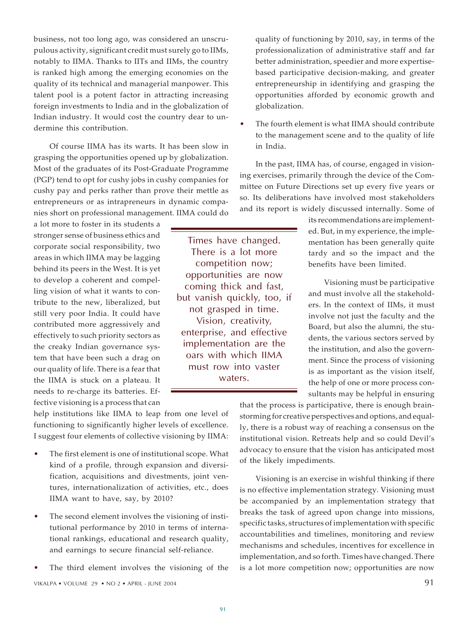business, not too long ago, was considered an unscrupulous activity, significant credit must surely go to IIMs, notably to IIMA. Thanks to IITs and IIMs, the country is ranked high among the emerging economies on the quality of its technical and managerial manpower. This talent pool is a potent factor in attracting increasing foreign investments to India and in the globalization of Indian industry. It would cost the country dear to undermine this contribution.

Of course IIMA has its warts. It has been slow in grasping the opportunities opened up by globalization. Most of the graduates of its Post-Graduate Programme (PGP) tend to opt for cushy jobs in cushy companies for cushy pay and perks rather than prove their mettle as entrepreneurs or as intrapreneurs in dynamic companies short on professional management. IIMA could do

a lot more to foster in its students a stronger sense of business ethics and corporate social responsibility, two areas in which IIMA may be lagging behind its peers in the West. It is yet to develop a coherent and compelling vision of what it wants to contribute to the new, liberalized, but still very poor India. It could have contributed more aggressively and effectively to such priority sectors as the creaky Indian governance system that have been such a drag on our quality of life. There is a fear that the IIMA is stuck on a plateau. It needs to re-charge its batteries. Effective visioning is a process that can

Times have changed. There is a lot more competition now; opportunities are now coming thick and fast, but vanish quickly, too, if not grasped in time. Vision, creativity, enterprise, and effective implementation are the oars with which IIMA must row into vaster waters.

quality of functioning by 2010, say, in terms of the professionalization of administrative staff and far better administration, speedier and more expertisebased participative decision-making, and greater entrepreneurship in identifying and grasping the opportunities afforded by economic growth and globalization.

The fourth element is what IIMA should contribute to the management scene and to the quality of life in India.

In the past, IIMA has, of course, engaged in visioning exercises, primarily through the device of the Committee on Future Directions set up every five years or so. Its deliberations have involved most stakeholders and its report is widely discussed internally. Some of

> its recommendations are implemented. But, in my experience, the implementation has been generally quite tardy and so the impact and the benefits have been limited.

> Visioning must be participative and must involve all the stakeholders. In the context of IIMs, it must involve not just the faculty and the Board, but also the alumni, the students, the various sectors served by the institution, and also the government. Since the process of visioning is as important as the vision itself, the help of one or more process consultants may be helpful in ensuring

help institutions like IIMA to leap from one level of functioning to significantly higher levels of excellence. I suggest four elements of collective visioning by IIMA:

- The first element is one of institutional scope. What kind of a profile, through expansion and diversification, acquisitions and divestments, joint ventures, internationalization of activities, etc., does IIMA want to have, say, by 2010?
- The second element involves the visioning of institutional performance by 2010 in terms of international rankings, educational and research quality, and earnings to secure financial self-reliance.
- The third element involves the visioning of the

that the process is participative, there is enough brainstorming for creative perspectives and options, and equally, there is a robust way of reaching a consensus on the institutional vision. Retreats help and so could Devil's advocacy to ensure that the vision has anticipated most of the likely impediments.

Visioning is an exercise in wishful thinking if there is no effective implementation strategy. Visioning must be accompanied by an implementation strategy that breaks the task of agreed upon change into missions, specific tasks, structures of implementation with specific accountabilities and timelines, monitoring and review mechanisms and schedules, incentives for excellence in implementation, and so forth. Times have changed. There is a lot more competition now; opportunities are now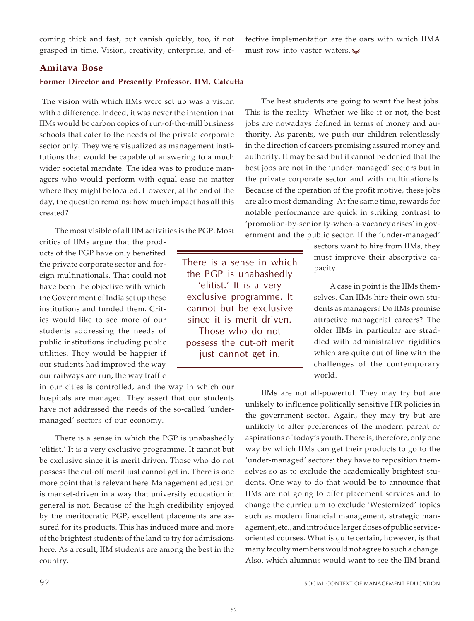coming thick and fast, but vanish quickly, too, if not grasped in time. Vision, creativity, enterprise, and ef-

fective implementation are the oars with which IIMA must row into vaster waters. $\sqrt{\ }$ 

#### **Amitava Bose**

#### **Former Director and Presently Professor, IIM, Calcutta**

 The vision with which IIMs were set up was a vision with a difference. Indeed, it was never the intention that IIMs would be carbon copies of run-of-the-mill business schools that cater to the needs of the private corporate sector only. They were visualized as management institutions that would be capable of answering to a much wider societal mandate. The idea was to produce managers who would perform with equal ease no matter where they might be located. However, at the end of the day, the question remains: how much impact has all this created?

The most visible of all IIM activities is the PGP. Most

critics of IIMs argue that the products of the PGP have only benefited the private corporate sector and foreign multinationals. That could not have been the objective with which the Government of India set up these institutions and funded them. Critics would like to see more of our students addressing the needs of public institutions including public utilities. They would be happier if our students had improved the way our railways are run, the way traffic

in our cities is controlled, and the way in which our hospitals are managed. They assert that our students have not addressed the needs of the so-called 'undermanaged' sectors of our economy.

There is a sense in which the PGP is unabashedly 'elitist.' It is a very exclusive programme. It cannot but be exclusive since it is merit driven. Those who do not possess the cut-off merit just cannot get in. There is one more point that is relevant here. Management education is market-driven in a way that university education in general is not. Because of the high credibility enjoyed by the meritocratic PGP, excellent placements are assured for its products. This has induced more and more of the brightest students of the land to try for admissions here. As a result, IIM students are among the best in the country.

There is a sense in which the PGP is unabashedly 'elitist.' It is a very exclusive programme. It cannot but be exclusive since it is merit driven. Those who do not possess the cut-off merit just cannot get in.

The best students are going to want the best jobs. This is the reality. Whether we like it or not, the best jobs are nowadays defined in terms of money and authority. As parents, we push our children relentlessly in the direction of careers promising assured money and authority. It may be sad but it cannot be denied that the best jobs are not in the 'under-managed' sectors but in the private corporate sector and with multinationals. Because of the operation of the profit motive, these jobs are also most demanding. At the same time, rewards for notable performance are quick in striking contrast to 'promotion-by-seniority-when-a-vacancy arises' in government and the public sector. If the 'under-managed'

> sectors want to hire from IIMs, they must improve their absorptive capacity.

> A case in point is the IIMs themselves. Can IIMs hire their own students as managers? Do IIMs promise attractive managerial careers? The older IIMs in particular are straddled with administrative rigidities which are quite out of line with the challenges of the contemporary world.

IIMs are not all-powerful. They may try but are unlikely to influence politically sensitive HR policies in the government sector. Again, they may try but are unlikely to alter preferences of the modern parent or aspirations of today's youth. There is, therefore, only one way by which IIMs can get their products to go to the 'under-managed' sectors: they have to reposition themselves so as to exclude the academically brightest students. One way to do that would be to announce that IIMs are not going to offer placement services and to change the curriculum to exclude 'Westernized' topics such as modern financial management, strategic management, etc., and introduce larger doses of public serviceoriented courses. What is quite certain, however, is that many faculty members would not agree to such a change. Also, which alumnus would want to see the IIM brand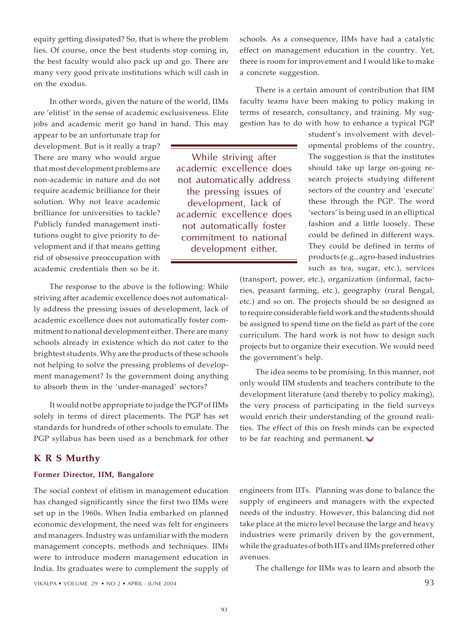equity getting dissipated? So, that is where the problem lies. Of course, once the best students stop coming in, the best faculty would also pack up and go. There are many very good private institutions which will cash in on the exodus.

In other words, given the nature of the world, IIMs are 'elitist' in the sense of academic exclusiveness. Elite jobs and academic merit go hand in hand. This may

appear to be an unfortunate trap for development. But is it really a trap? There are many who would argue that most development problems are non-academic in nature and do not require academic brilliance for their solution. Why not leave academic brilliance for universities to tackle? Publicly funded management institutions ought to give priority to development and if that means getting rid of obsessive preoccupation with academic credentials then so be it.

The response to the above is the following: While striving after academic excellence does not automatically address the pressing issues of development, lack of academic excellence does not automatically foster commitment to national development either. There are many schools already in existence which do not cater to the brightest students. Why are the products of these schools not helping to solve the pressing problems of development management? Is the government doing anything to absorb them in the 'under-managed' sectors?

It would not be appropriate to judge the PGP of IIMs solely in terms of direct placements. The PGP has set standards for hundreds of other schools to emulate. The PGP syllabus has been used as a benchmark for other

### **K R S Murthy**

#### **Former Director, IIM, Bangalore**

The social context of elitism in management education has changed significantly since the first two IIMs were set up in the 1960s. When India embarked on planned economic development, the need was felt for engineers and managers. Industry was unfamiliar with the modern management concepts, methods and techniques. IIMs were to introduce modern management education in India. Its graduates were to complement the supply of

schools. As a consequence, IIMs have had a catalytic effect on management education in the country. Yet, there is room for improvement and I would like to make a concrete suggestion.

There is a certain amount of contribution that IIM faculty teams have been making to policy making in terms of research, consultancy, and training. My suggestion has to do with how to enhance a typical PGP

> student's involvement with developmental problems of the country. The suggestion is that the institutes should take up large on-going research projects studying different sectors of the country and 'execute' these through the PGP. The word 'sectors' is being used in an elliptical fashion and a little loosely. These could be defined in different ways. They could be defined in terms of products (e.g., agro-based industries such as tea, sugar, etc.), services

(transport, power, etc.), organization (informal, factories, peasant farming, etc.), geography (rural Bengal, etc.) and so on. The projects should be so designed as to require considerable field work and the students should be assigned to spend time on the field as part of the core curriculum. The hard work is not how to design such projects but to organize their execution. We would need the government's help.

The idea seems to be promising. In this manner, not only would IIM students and teachers contribute to the development literature (and thereby to policy making), the very process of participating in the field surveys would enrich their understanding of the ground realities. The effect of this on fresh minds can be expected to be far reaching and permanent.  $\mathbf{\nabla}$ 

engineers from IITs. Planning was done to balance the supply of engineers and managers with the expected needs of the industry. However, this balancing did not take place at the micro level because the large and heavy industries were primarily driven by the government, while the graduates of both IITs and IIMs preferred other avenues.

The challenge for IIMs was to learn and absorb the

While striving after academic excellence does not automatically address the pressing issues of development, lack of academic excellence does not automatically foster commitment to national development either.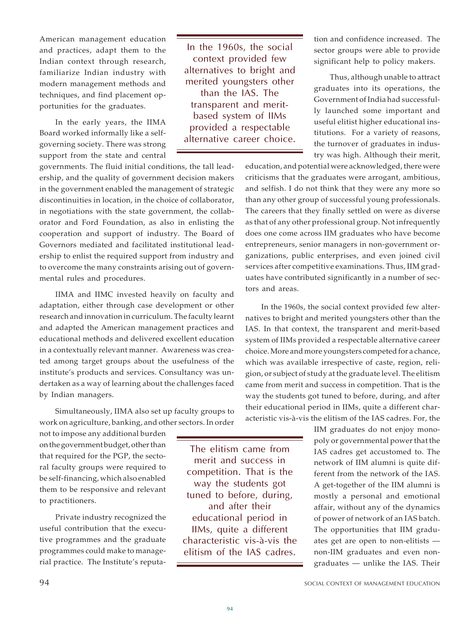American management education and practices, adapt them to the Indian context through research, familiarize Indian industry with modern management methods and techniques, and find placement opportunities for the graduates.

In the early years, the IIMA Board worked informally like a selfgoverning society. There was strong support from the state and central

governments. The fluid initial conditions, the tall leadership, and the quality of government decision makers in the government enabled the management of strategic discontinuities in location, in the choice of collaborator, in negotiations with the state government, the collaborator and Ford Foundation, as also in enlisting the cooperation and support of industry. The Board of Governors mediated and facilitated institutional leadership to enlist the required support from industry and to overcome the many constraints arising out of governmental rules and procedures.

IIMA and IIMC invested heavily on faculty and adaptation, either through case development or other research and innovation in curriculum. The faculty learnt and adapted the American management practices and educational methods and delivered excellent education in a contextually relevant manner. Awareness was created among target groups about the usefulness of the institute's products and services. Consultancy was undertaken as a way of learning about the challenges faced by Indian managers.

Simultaneously, IIMA also set up faculty groups to work on agriculture, banking, and other sectors. In order

not to impose any additional burden on the government budget, other than that required for the PGP, the sectoral faculty groups were required to be self-financing, which also enabled them to be responsive and relevant to practitioners.

Private industry recognized the useful contribution that the executive programmes and the graduate programmes could make to managerial practice. The Institute's reputa-

educational period in IIMs, quite a different characteristic vis-à-vis the elitism of the IAS cadres.

In the 1960s, the social context provided few alternatives to bright and merited youngsters other than the IAS. The transparent and meritbased system of IIMs provided a respectable alternative career choice. tion and confidence increased. The sector groups were able to provide significant help to policy makers.

Thus, although unable to attract graduates into its operations, the Government of India had successfully launched some important and useful elitist higher educational institutions. For a variety of reasons, the turnover of graduates in industry was high. Although their merit,

education, and potential were acknowledged, there were criticisms that the graduates were arrogant, ambitious, and selfish. I do not think that they were any more so than any other group of successful young professionals. The careers that they finally settled on were as diverse as that of any other professional group. Not infrequently does one come across IIM graduates who have become entrepreneurs, senior managers in non-government organizations, public enterprises, and even joined civil services after competitive examinations. Thus, IIM graduates have contributed significantly in a number of sectors and areas.

In the 1960s, the social context provided few alternatives to bright and merited youngsters other than the IAS. In that context, the transparent and merit-based system of IIMs provided a respectable alternative career choice. More and more youngsters competed for a chance, which was available irrespective of caste, region, religion, or subject of study at the graduate level. The elitism came from merit and success in competition. That is the way the students got tuned to before, during, and after their educational period in IIMs, quite a different characteristic vis-à-vis the elitism of the IAS cadres. For, the

> IIM graduates do not enjoy monopoly or governmental power that the IAS cadres get accustomed to. The network of IIM alumni is quite different from the network of the IAS. A get-together of the IIM alumni is mostly a personal and emotional affair, without any of the dynamics of power of network of an IAS batch. The opportunities that IIM graduates get are open to non-elitists non-IIM graduates and even nongraduates — unlike the IAS. Their

The elitism came from merit and success in competition. That is the way the students got tuned to before, during, and after their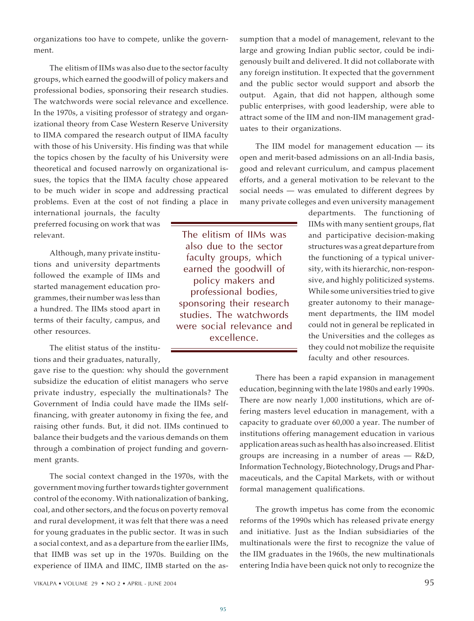organizations too have to compete, unlike the government.

The elitism of IIMs was also due to the sector faculty groups, which earned the goodwill of policy makers and professional bodies, sponsoring their research studies. The watchwords were social relevance and excellence. In the 1970s, a visiting professor of strategy and organizational theory from Case Western Reserve University to IIMA compared the research output of IIMA faculty with those of his University. His finding was that while the topics chosen by the faculty of his University were theoretical and focused narrowly on organizational issues, the topics that the IIMA faculty chose appeared to be much wider in scope and addressing practical problems. Even at the cost of not finding a place in

international journals, the faculty preferred focusing on work that was relevant.

Although, many private institutions and university departments followed the example of IIMs and started management education programmes, their number was less than a hundred. The IIMs stood apart in terms of their faculty, campus, and other resources.

The elitist status of the institutions and their graduates, naturally,

gave rise to the question: why should the government subsidize the education of elitist managers who serve private industry, especially the multinationals? The Government of India could have made the IIMs selffinancing, with greater autonomy in fixing the fee, and raising other funds. But, it did not. IIMs continued to balance their budgets and the various demands on them through a combination of project funding and government grants.

The social context changed in the 1970s, with the government moving further towards tighter government control of the economy. With nationalization of banking, coal, and other sectors, and the focus on poverty removal and rural development, it was felt that there was a need for young graduates in the public sector. It was in such a social context, and as a departure from the earlier IIMs, that IIMB was set up in the 1970s. Building on the experience of IIMA and IIMC, IIMB started on the as-

The elitism of IIMs was also due to the sector faculty groups, which earned the goodwill of policy makers and professional bodies, sponsoring their research studies. The watchwords were social relevance and excellence.

sumption that a model of management, relevant to the large and growing Indian public sector, could be indigenously built and delivered. It did not collaborate with any foreign institution. It expected that the government and the public sector would support and absorb the output. Again, that did not happen, although some public enterprises, with good leadership, were able to attract some of the IIM and non-IIM management graduates to their organizations.

The IIM model for management education — its open and merit-based admissions on an all-India basis, good and relevant curriculum, and campus placement efforts, and a general motivation to be relevant to the social needs — was emulated to different degrees by many private colleges and even university management

> departments. The functioning of IIMs with many sentient groups, flat and participative decision-making structures was a great departure from the functioning of a typical university, with its hierarchic, non-responsive, and highly politicized systems. While some universities tried to give greater autonomy to their management departments, the IIM model could not in general be replicated in the Universities and the colleges as they could not mobilize the requisite faculty and other resources.

There has been a rapid expansion in management education, beginning with the late 1980s and early 1990s. There are now nearly 1,000 institutions, which are offering masters level education in management, with a capacity to graduate over 60,000 a year. The number of institutions offering management education in various application areas such as health has also increased. Elitist groups are increasing in a number of areas  $-$  R&D, Information Technology, Biotechnology, Drugs and Pharmaceuticals, and the Capital Markets, with or without formal management qualifications.

The growth impetus has come from the economic reforms of the 1990s which has released private energy and initiative. Just as the Indian subsidiaries of the multinationals were the first to recognize the value of the IIM graduates in the 1960s, the new multinationals entering India have been quick not only to recognize the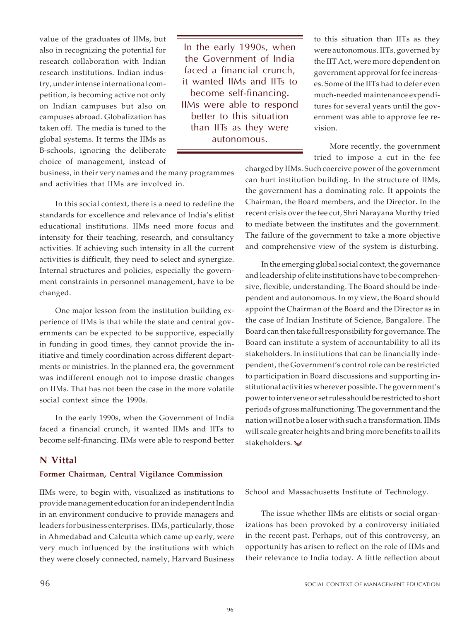value of the graduates of IIMs, but also in recognizing the potential for research collaboration with Indian research institutions. Indian industry, under intense international competition, is becoming active not only on Indian campuses but also on campuses abroad. Globalization has taken off. The media is tuned to the global systems. It terms the IIMs as B-schools, ignoring the deliberate choice of management, instead of

In the early 1990s, when the Government of India faced a financial crunch, it wanted IIMs and IITs to become self-financing. IIMs were able to respond better to this situation than IITs as they were autonomous.

to this situation than IITs as they were autonomous. IITs, governed by the IIT Act, were more dependent on government approval for fee increases. Some of the IITs had to defer even much-needed maintenance expenditures for several years until the government was able to approve fee revision.

More recently, the government tried to impose a cut in the fee

business, in their very names and the many programmes and activities that IIMs are involved in.

In this social context, there is a need to redefine the standards for excellence and relevance of India's elitist educational institutions. IIMs need more focus and intensity for their teaching, research, and consultancy activities. If achieving such intensity in all the current activities is difficult, they need to select and synergize. Internal structures and policies, especially the government constraints in personnel management, have to be changed.

One major lesson from the institution building experience of IIMs is that while the state and central governments can be expected to be supportive, especially in funding in good times, they cannot provide the initiative and timely coordination across different departments or ministries. In the planned era, the government was indifferent enough not to impose drastic changes on IIMs. That has not been the case in the more volatile social context since the 1990s.

In the early 1990s, when the Government of India faced a financial crunch, it wanted IIMs and IITs to become self-financing. IIMs were able to respond better

### **N Vittal**

#### **Former Chairman, Central Vigilance Commission**

IIMs were, to begin with, visualized as institutions to provide management education for an independent India in an environment conducive to provide managers and leaders for business enterprises. IIMs, particularly, those in Ahmedabad and Calcutta which came up early, were very much influenced by the institutions with which they were closely connected, namely, Harvard Business

charged by IIMs. Such coercive power of the government can hurt institution building. In the structure of IIMs, the government has a dominating role. It appoints the Chairman, the Board members, and the Director. In the recent crisis over the fee cut, Shri Narayana Murthy tried to mediate between the institutes and the government. The failure of the government to take a more objective and comprehensive view of the system is disturbing.

In the emerging global social context, the governance and leadership of elite institutions have to be comprehensive, flexible, understanding. The Board should be independent and autonomous. In my view, the Board should appoint the Chairman of the Board and the Director as in the case of Indian Institute of Science, Bangalore. The Board can then take full responsibility for governance. The Board can institute a system of accountability to all its stakeholders. In institutions that can be financially independent, the Government's control role can be restricted to participation in Board discussions and supporting institutional activities wherever possible. The government's power to intervene or set rules should be restricted to short periods of gross malfunctioning. The government and the nation will not be a loser with such a transformation. IIMs will scale greater heights and bring more benefits to all its stakeholders.

School and Massachusetts Institute of Technology.

The issue whether IIMs are elitists or social organizations has been provoked by a controversy initiated in the recent past. Perhaps, out of this controversy, an opportunity has arisen to reflect on the role of IIMs and their relevance to India today. A little reflection about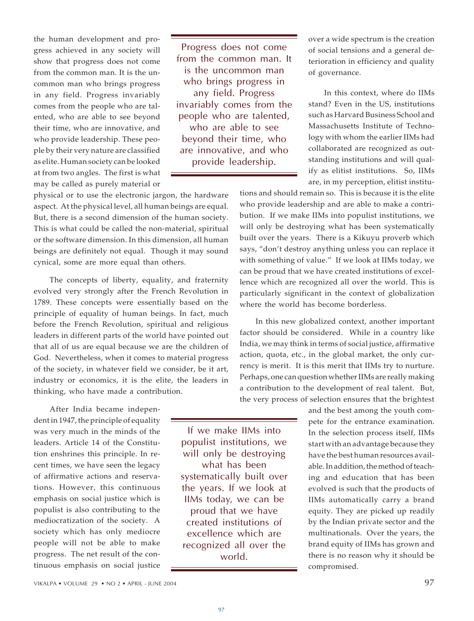the human development and progress achieved in any society will show that progress does not come from the common man. It is the uncommon man who brings progress in any field. Progress invariably comes from the people who are talented, who are able to see beyond their time, who are innovative, and who provide leadership. These people by their very nature are classified as elite. Human society can be looked at from two angles. The first is what may be called as purely material or

Progress does not come from the common man. It is the uncommon man who brings progress in any field. Progress invariably comes from the people who are talented, who are able to see beyond their time, who are innovative, and who provide leadership.

physical or to use the electronic jargon, the hardware aspect. At the physical level, all human beings are equal. But, there is a second dimension of the human society. This is what could be called the non-material, spiritual or the software dimension. In this dimension, all human beings are definitely not equal. Though it may sound cynical, some are more equal than others.

The concepts of liberty, equality, and fraternity evolved very strongly after the French Revolution in 1789. These concepts were essentially based on the principle of equality of human beings. In fact, much before the French Revolution, spiritual and religious leaders in different parts of the world have pointed out that all of us are equal because we are the children of God. Nevertheless, when it comes to material progress of the society, in whatever field we consider, be it art, industry or economics, it is the elite, the leaders in thinking, who have made a contribution.

After India became independent in 1947, the principle of equality was very much in the minds of the leaders. Article 14 of the Constitution enshrines this principle. In recent times, we have seen the legacy of affirmative actions and reservations. However, this continuous emphasis on social justice which is populist is also contributing to the mediocratization of the society. A society which has only mediocre people will not be able to make progress. The net result of the continuous emphasis on social justice

populist institutions, we will only be destroying what has been systematically built over the years. If we look at IIMs today, we can be proud that we have created institutions of excellence which are recognized all over the world.

If we make IIMs into

over a wide spectrum is the creation of social tensions and a general deterioration in efficiency and quality of governance.

In this context, where do IIMs stand? Even in the US, institutions such as Harvard Business School and Massachusetts Institute of Technology with whom the earlier IIMs had collaborated are recognized as outstanding institutions and will qualify as elitist institutions. So, IIMs are, in my perception, elitist institu-

tions and should remain so. This is because it is the elite who provide leadership and are able to make a contribution. If we make IIMs into populist institutions, we will only be destroying what has been systematically built over the years. There is a Kikuyu proverb which says, "don't destroy anything unless you can replace it with something of value." If we look at IIMs today, we can be proud that we have created institutions of excellence which are recognized all over the world. This is particularly significant in the context of globalization where the world has become borderless.

In this new globalized context, another important factor should be considered. While in a country like India, we may think in terms of social justice, affirmative action, quota, etc., in the global market, the only currency is merit. It is this merit that IIMs try to nurture. Perhaps, one can question whether IIMs are really making a contribution to the development of real talent. But, the very process of selection ensures that the brightest

> and the best among the youth compete for the entrance examination. In the selection process itself, IIMs start with an advantage because they have the best human resources available. In addition, the method of teaching and education that has been evolved is such that the products of IIMs automatically carry a brand equity. They are picked up readily by the Indian private sector and the multinationals. Over the years, the brand equity of IIMs has grown and there is no reason why it should be compromised.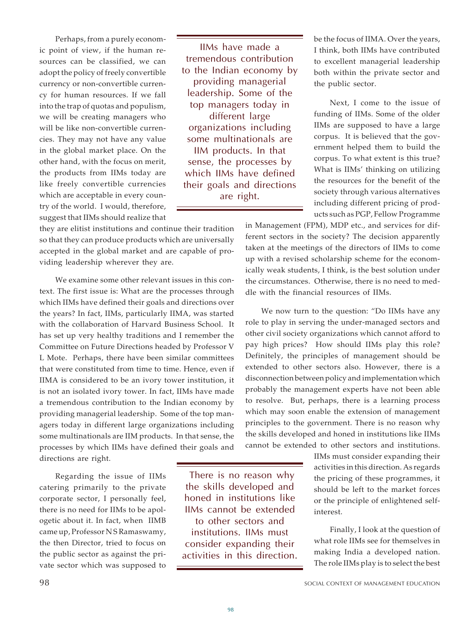Perhaps, from a purely economic point of view, if the human resources can be classified, we can adopt the policy of freely convertible currency or non-convertible currency for human resources. If we fall into the trap of quotas and populism, we will be creating managers who will be like non-convertible currencies. They may not have any value in the global market place. On the other hand, with the focus on merit, the products from IIMs today are like freely convertible currencies which are acceptable in every country of the world. I would, therefore, suggest that IIMs should realize that

IIMs have made a tremendous contribution to the Indian economy by providing managerial leadership. Some of the top managers today in different large organizations including some multinationals are IIM products. In that sense, the processes by which IIMs have defined their goals and directions are right.

they are elitist institutions and continue their tradition so that they can produce products which are universally accepted in the global market and are capable of providing leadership wherever they are.

We examine some other relevant issues in this context. The first issue is: What are the processes through which IIMs have defined their goals and directions over the years? In fact, IIMs, particularly IIMA, was started with the collaboration of Harvard Business School. It has set up very healthy traditions and I remember the Committee on Future Directions headed by Professor V L Mote. Perhaps, there have been similar committees that were constituted from time to time. Hence, even if IIMA is considered to be an ivory tower institution, it is not an isolated ivory tower. In fact, IIMs have made a tremendous contribution to the Indian economy by providing managerial leadership. Some of the top managers today in different large organizations including some multinationals are IIM products. In that sense, the processes by which IIMs have defined their goals and directions are right.

Regarding the issue of IIMs catering primarily to the private corporate sector, I personally feel, there is no need for IIMs to be apologetic about it. In fact, when IIMB came up, Professor N S Ramaswamy, the then Director, tried to focus on the public sector as against the private sector which was supposed to

the skills developed and honed in institutions like IIMs cannot be extended to other sectors and institutions. IIMs must consider expanding their activities in this direction.

There is no reason why

be the focus of IIMA. Over the years, I think, both IIMs have contributed to excellent managerial leadership both within the private sector and the public sector.

Next, I come to the issue of funding of IIMs. Some of the older IIMs are supposed to have a large corpus. It is believed that the government helped them to build the corpus. To what extent is this true? What is IIMs' thinking on utilizing the resources for the benefit of the society through various alternatives including different pricing of products such as PGP, Fellow Programme

in Management (FPM), MDP etc., and services for different sectors in the society? The decision apparently taken at the meetings of the directors of IIMs to come up with a revised scholarship scheme for the economically weak students, I think, is the best solution under the circumstances. Otherwise, there is no need to meddle with the financial resources of IIMs.

We now turn to the question: "Do IIMs have any role to play in serving the under-managed sectors and other civil society organizations which cannot afford to pay high prices? How should IIMs play this role? Definitely, the principles of management should be extended to other sectors also. However, there is a disconnection between policy and implementation which probably the management experts have not been able to resolve. But, perhaps, there is a learning process which may soon enable the extension of management principles to the government. There is no reason why the skills developed and honed in institutions like IIMs cannot be extended to other sectors and institutions.

> IIMs must consider expanding their activities in this direction. As regards the pricing of these programmes, it should be left to the market forces or the principle of enlightened selfinterest.

> Finally, I look at the question of what role IIMs see for themselves in making India a developed nation. The role IIMs play is to select the best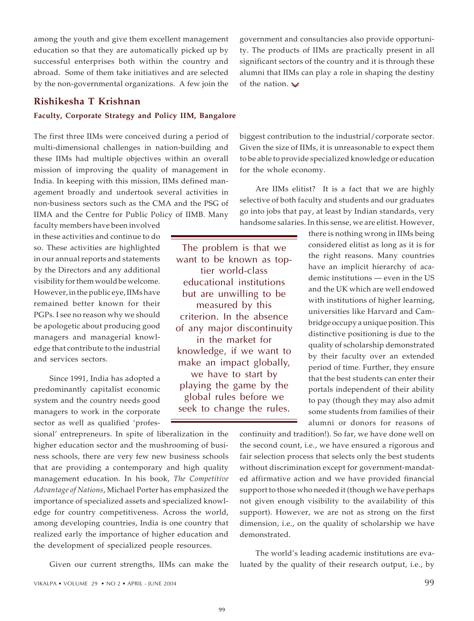among the youth and give them excellent management education so that they are automatically picked up by successful enterprises both within the country and abroad. Some of them take initiatives and are selected by the non-governmental organizations. A few join the

**Rishikesha T Krishnan**

#### **Faculty, Corporate Strategy and Policy IIM, Bangalore**

The first three IIMs were conceived during a period of multi-dimensional challenges in nation-building and these IIMs had multiple objectives within an overall mission of improving the quality of management in India. In keeping with this mission, IIMs defined management broadly and undertook several activities in non-business sectors such as the CMA and the PSG of IIMA and the Centre for Public Policy of IIMB. Many

faculty members have been involved in these activities and continue to do so. These activities are highlighted in our annual reports and statements by the Directors and any additional visibility for them would be welcome. However, in the public eye, IIMs have remained better known for their PGPs. I see no reason why we should be apologetic about producing good managers and managerial knowledge that contribute to the industrial and services sectors.

Since 1991, India has adopted a predominantly capitalist economic system and the country needs good managers to work in the corporate sector as well as qualified 'profes-

sional' entrepreneurs. In spite of liberalization in the higher education sector and the mushrooming of business schools, there are very few new business schools that are providing a contemporary and high quality management education. In his book, *The Competitive Advantage of Nations*, Michael Porter has emphasized the importance of specialized assets and specialized knowledge for country competitiveness. Across the world, among developing countries, India is one country that realized early the importance of higher education and the development of specialized people resources.

Given our current strengths, IIMs can make the

The problem is that we want to be known as toptier world-class educational institutions but are unwilling to be measured by this criterion. In the absence of any major discontinuity in the market for knowledge, if we want to make an impact globally, we have to start by playing the game by the global rules before we seek to change the rules.

government and consultancies also provide opportunity. The products of IIMs are practically present in all significant sectors of the country and it is through these alumni that IIMs can play a role in shaping the destiny of the nation.  $\vee$ 

biggest contribution to the industrial/corporate sector. Given the size of IIMs, it is unreasonable to expect them to be able to provide specialized knowledge or education for the whole economy.

Are IIMs elitist? It is a fact that we are highly selective of both faculty and students and our graduates go into jobs that pay, at least by Indian standards, very handsome salaries. In this sense, we are elitist. However,

there is nothing wrong in IIMs being considered elitist as long as it is for the right reasons. Many countries have an implicit hierarchy of academic institutions — even in the US and the UK which are well endowed with institutions of higher learning, universities like Harvard and Cambridge occupy a unique position. This distinctive positioning is due to the quality of scholarship demonstrated by their faculty over an extended period of time. Further, they ensure that the best students can enter their portals independent of their ability to pay (though they may also admit some students from families of their alumni or donors for reasons of

continuity and tradition!). So far, we have done well on the second count, i.e., we have ensured a rigorous and fair selection process that selects only the best students without discrimination except for government-mandated affirmative action and we have provided financial support to those who needed it (though we have perhaps not given enough visibility to the availability of this support). However, we are not as strong on the first dimension, i.e., on the quality of scholarship we have demonstrated.

The world's leading academic institutions are evaluated by the quality of their research output, i.e., by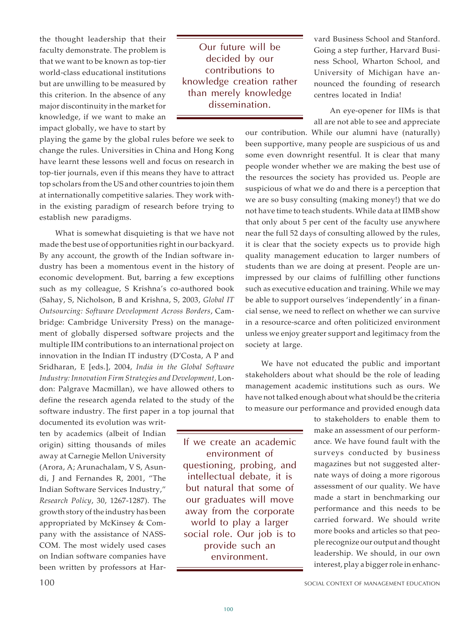the thought leadership that their faculty demonstrate. The problem is that we want to be known as top-tier world-class educational institutions but are unwilling to be measured by this criterion. In the absence of any major discontinuity in the market for knowledge, if we want to make an impact globally, we have to start by

playing the game by the global rules before we seek to change the rules. Universities in China and Hong Kong have learnt these lessons well and focus on research in top-tier journals, even if this means they have to attract top scholars from the US and other countries to join them at internationally competitive salaries. They work within the existing paradigm of research before trying to establish new paradigms.

What is somewhat disquieting is that we have not made the best use of opportunities right in our backyard. By any account, the growth of the Indian software industry has been a momentous event in the history of economic development. But, barring a few exceptions such as my colleague, S Krishna's co-authored book (Sahay, S, Nicholson, B and Krishna, S, 2003, *Global IT Outsourcing: Software Development Across Borders*, Cambridge: Cambridge University Press) on the management of globally dispersed software projects and the multiple IIM contributions to an international project on innovation in the Indian IT industry (D'Costa, A P and Sridharan, E [eds.], 2004, *India in the Global Software Industry: Innovation Firm Strategies and Development,* London: Palgrave Macmillan), we have allowed others to define the research agenda related to the study of the software industry. The first paper in a top journal that

documented its evolution was written by academics (albeit of Indian origin) sitting thousands of miles away at Carnegie Mellon University (Arora, A; Arunachalam, V S, Asundi, J and Fernandes R, 2001, "The Indian Software Services Industry," *Research Policy*, 30, 1267-1287). The growth story of the industry has been appropriated by McKinsey & Company with the assistance of NASS-COM. The most widely used cases on Indian software companies have been written by professors at Har-

Our future will be decided by our contributions to knowledge creation rather than merely knowledge dissemination.

vard Business School and Stanford. Going a step further, Harvard Business School, Wharton School, and University of Michigan have announced the founding of research centres located in India!

An eye-opener for IIMs is that all are not able to see and appreciate

our contribution. While our alumni have (naturally) been supportive, many people are suspicious of us and some even downright resentful. It is clear that many people wonder whether we are making the best use of the resources the society has provided us. People are suspicious of what we do and there is a perception that we are so busy consulting (making money!) that we do not have time to teach students. While data at IIMB show that only about 5 per cent of the faculty use anywhere near the full 52 days of consulting allowed by the rules, it is clear that the society expects us to provide high quality management education to larger numbers of students than we are doing at present. People are unimpressed by our claims of fulfilling other functions such as executive education and training. While we may be able to support ourselves 'independently' in a financial sense, we need to reflect on whether we can survive in a resource-scarce and often politicized environment unless we enjoy greater support and legitimacy from the society at large.

We have not educated the public and important stakeholders about what should be the role of leading management academic institutions such as ours. We have not talked enough about what should be the criteria to measure our performance and provided enough data

If we create an academic environment of questioning, probing, and intellectual debate, it is but natural that some of our graduates will move away from the corporate world to play a larger social role. Our job is to provide such an environment.

to stakeholders to enable them to make an assessment of our performance. We have found fault with the surveys conducted by business magazines but not suggested alternate ways of doing a more rigorous assessment of our quality. We have made a start in benchmarking our performance and this needs to be carried forward. We should write more books and articles so that people recognize our output and thought leadership. We should, in our own interest, play a bigger role in enhanc-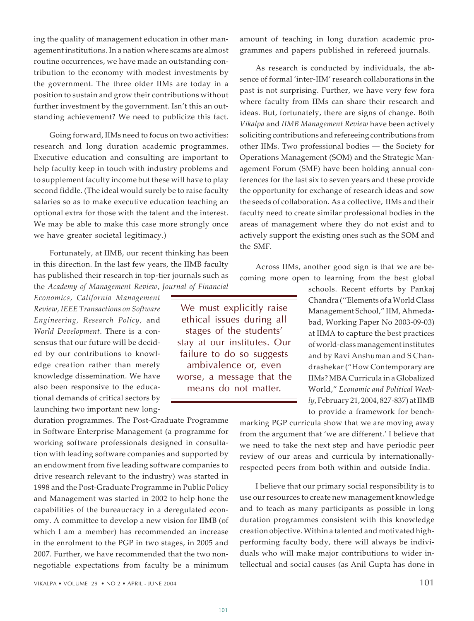VIKALPA • VOLUME 29 • NO 2 • APRIL - JUNE 2004 101

ing the quality of management education in other management institutions. In a nation where scams are almost routine occurrences, we have made an outstanding contribution to the economy with modest investments by the government. The three older IIMs are today in a position to sustain and grow their contributions without further investment by the government. Isn't this an outstanding achievement? We need to publicize this fact.

Going forward, IIMs need to focus on two activities: research and long duration academic programmes. Executive education and consulting are important to help faculty keep in touch with industry problems and to supplement faculty income but these will have to play second fiddle. (The ideal would surely be to raise faculty salaries so as to make executive education teaching an optional extra for those with the talent and the interest. We may be able to make this case more strongly once we have greater societal legitimacy.)

Fortunately, at IIMB, our recent thinking has been in this direction. In the last few years, the IIMB faculty has published their research in top-tier journals such as the *Academy of Management Review*, *Journal of Financial*

*Economics, California Management Review, IEEE Transactions on Software Engineering, Research Policy,* and *World Development*. There is a consensus that our future will be decided by our contributions to knowledge creation rather than merely knowledge dissemination. We have also been responsive to the educational demands of critical sectors by launching two important new long-

duration programmes. The Post-Graduate Programme in Software Enterprise Management (a programme for working software professionals designed in consultation with leading software companies and supported by an endowment from five leading software companies to drive research relevant to the industry) was started in 1998 and the Post-Graduate Programme in Public Policy and Management was started in 2002 to help hone the capabilities of the bureaucracy in a deregulated economy. A committee to develop a new vision for IIMB (of which I am a member) has recommended an increase in the enrolment to the PGP in two stages, in 2005 and 2007. Further, we have recommended that the two nonnegotiable expectations from faculty be a minimum

amount of teaching in long duration academic programmes and papers published in refereed journals.

As research is conducted by individuals, the absence of formal 'inter-IIM' research collaborations in the past is not surprising. Further, we have very few fora where faculty from IIMs can share their research and ideas. But, fortunately, there are signs of change. Both *Vikalpa* and *IIMB Management Review* have been actively soliciting contributions and refereeing contributions from other IIMs. Two professional bodies — the Society for Operations Management (SOM) and the Strategic Management Forum (SMF) have been holding annual conferences for the last six to seven years and these provide the opportunity for exchange of research ideas and sow the seeds of collaboration. As a collective, IIMs and their faculty need to create similar professional bodies in the areas of management where they do not exist and to actively support the existing ones such as the SOM and the SMF.

Across IIMs, another good sign is that we are becoming more open to learning from the best global

> schools. Recent efforts by Pankaj Chandra (''Elements of a World Class Management School," IIM, Ahmedabad, Working Paper No 2003-09-03) at IIMA to capture the best practices of world-class management institutes and by Ravi Anshuman and S Chandrashekar ("How Contemporary are IIMs? MBA Curricula in a Globalized World," *Economic and Political Weekly*, February 21, 2004, 827-837) at IIMB to provide a framework for bench-

marking PGP curricula show that we are moving away from the argument that 'we are different.' I believe that we need to take the next step and have periodic peer review of our areas and curricula by internationallyrespected peers from both within and outside India.

I believe that our primary social responsibility is to use our resources to create new management knowledge and to teach as many participants as possible in long duration programmes consistent with this knowledge creation objective. Within a talented and motivated highperforming faculty body, there will always be individuals who will make major contributions to wider intellectual and social causes (as Anil Gupta has done in

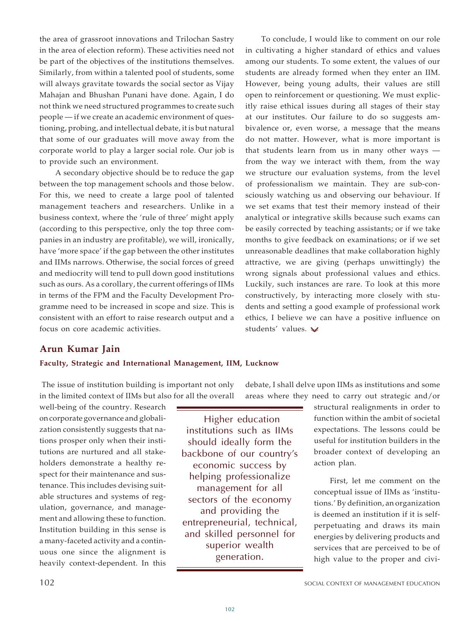the area of grassroot innovations and Trilochan Sastry in the area of election reform). These activities need not be part of the objectives of the institutions themselves. Similarly, from within a talented pool of students, some will always gravitate towards the social sector as Vijay Mahajan and Bhushan Punani have done. Again, I do not think we need structured programmes to create such people — if we create an academic environment of questioning, probing, and intellectual debate, it is but natural that some of our graduates will move away from the corporate world to play a larger social role. Our job is to provide such an environment.

A secondary objective should be to reduce the gap between the top management schools and those below. For this, we need to create a large pool of talented management teachers and researchers. Unlike in a business context, where the 'rule of three' might apply (according to this perspective, only the top three companies in an industry are profitable), we will, ironically, have 'more space' if the gap between the other institutes and IIMs narrows. Otherwise, the social forces of greed and mediocrity will tend to pull down good institutions such as ours. As a corollary, the current offerings of IIMs in terms of the FPM and the Faculty Development Programme need to be increased in scope and size. This is consistent with an effort to raise research output and a focus on core academic activities.

To conclude, I would like to comment on our role in cultivating a higher standard of ethics and values among our students. To some extent, the values of our students are already formed when they enter an IIM. However, being young adults, their values are still open to reinforcement or questioning. We must explicitly raise ethical issues during all stages of their stay at our institutes. Our failure to do so suggests ambivalence or, even worse, a message that the means do not matter. However, what is more important is that students learn from us in many other ways from the way we interact with them, from the way we structure our evaluation systems, from the level of professionalism we maintain. They are sub-consciously watching us and observing our behaviour. If we set exams that test their memory instead of their analytical or integrative skills because such exams can be easily corrected by teaching assistants; or if we take months to give feedback on examinations; or if we set unreasonable deadlines that make collaboration highly attractive, we are giving (perhaps unwittingly) the wrong signals about professional values and ethics. Luckily, such instances are rare. To look at this more constructively, by interacting more closely with students and setting a good example of professional work ethics, I believe we can have a positive influence on students' values.  $\vee$ 

## **Arun Kumar Jain**

#### **Faculty, Strategic and International Management, IIM, Lucknow**

 The issue of institution building is important not only in the limited context of IIMs but also for all the overall

well-being of the country. Research on corporate governance and globalization consistently suggests that nations prosper only when their institutions are nurtured and all stakeholders demonstrate a healthy respect for their maintenance and sustenance. This includes devising suitable structures and systems of regulation, governance, and management and allowing these to function. Institution building in this sense is a many-faceted activity and a continuous one since the alignment is heavily context-dependent. In this

 Higher education institutions such as IIMs should ideally form the backbone of our country's economic success by helping professionalize management for all sectors of the economy and providing the entrepreneurial, technical, and skilled personnel for superior wealth generation.

debate, I shall delve upon IIMs as institutions and some areas where they need to carry out strategic and/or

> structural realignments in order to function within the ambit of societal expectations. The lessons could be useful for institution builders in the broader context of developing an action plan.

> First, let me comment on the conceptual issue of IIMs as 'institutions.' By definition, an organization is deemed an institution if it is selfperpetuating and draws its main energies by delivering products and services that are perceived to be of high value to the proper and civi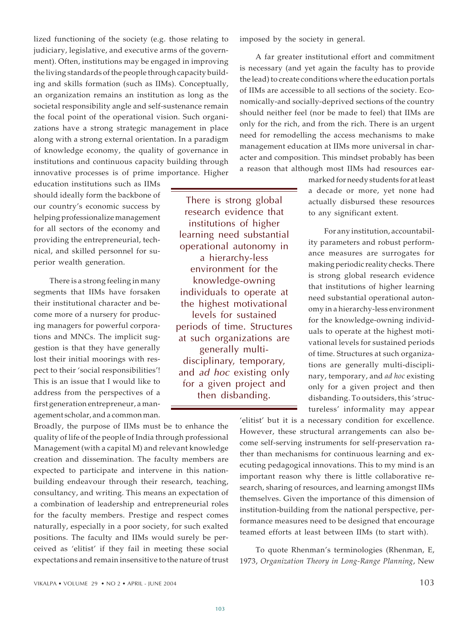lized functioning of the society (e.g. those relating to judiciary, legislative, and executive arms of the government). Often, institutions may be engaged in improving the living standards of the people through capacity building and skills formation (such as IIMs). Conceptually, an organization remains an institution as long as the societal responsibility angle and self-sustenance remain the focal point of the operational vision. Such organizations have a strong strategic management in place along with a strong external orientation. In a paradigm of knowledge economy, the quality of governance in institutions and continuous capacity building through innovative processes is of prime importance. Higher

education institutions such as IIMs should ideally form the backbone of our country's economic success by helping professionalize management for all sectors of the economy and providing the entrepreneurial, technical, and skilled personnel for superior wealth generation.

There is a strong feeling in many segments that IIMs have forsaken their institutional character and become more of a nursery for producing managers for powerful corporations and MNCs. The implicit suggestion is that they have generally lost their initial moorings with respect to their 'social responsibilities'! This is an issue that I would like to address from the perspectives of a first generation entrepreneur, a management scholar, and a common man.

Broadly, the purpose of IIMs must be to enhance the quality of life of the people of India through professional Management (with a capital M) and relevant knowledge creation and dissemination. The faculty members are expected to participate and intervene in this nationbuilding endeavour through their research, teaching, consultancy, and writing. This means an expectation of a combination of leadership and entrepreneurial roles for the faculty members. Prestige and respect comes naturally, especially in a poor society, for such exalted positions. The faculty and IIMs would surely be perceived as 'elitist' if they fail in meeting these social expectations and remain insensitive to the nature of trust

imposed by the society in general.

A far greater institutional effort and commitment is necessary (and yet again the faculty has to provide the lead) to create conditions where the education portals of IIMs are accessible to all sections of the society. Economically-and socially-deprived sections of the country should neither feel (nor be made to feel) that IIMs are only for the rich, and from the rich. There is an urgent need for remodelling the access mechanisms to make management education at IIMs more universal in character and composition. This mindset probably has been a reason that although most IIMs had resources ear-

> marked for needy students for at least a decade or more, yet none had actually disbursed these resources to any significant extent.

> For any institution, accountability parameters and robust performance measures are surrogates for making periodic reality checks. There is strong global research evidence that institutions of higher learning need substantial operational autonomy in a hierarchy-less environment for the knowledge-owning individuals to operate at the highest motivational levels for sustained periods of time. Structures at such organizations are generally multi-disciplinary, temporary, and *ad hoc* existing only for a given project and then disbanding. To outsiders, this 'structureless' informality may appear

'elitist' but it is a necessary condition for excellence. However, these structural arrangements can also become self-serving instruments for self-preservation rather than mechanisms for continuous learning and executing pedagogical innovations. This to my mind is an important reason why there is little collaborative research, sharing of resources, and learning amongst IIMs themselves. Given the importance of this dimension of institution-building from the national perspective, performance measures need to be designed that encourage teamed efforts at least between IIMs (to start with).

To quote Rhenman's terminologies (Rhenman, E, 1973, *Organization Theory in Long-Range Planning*, New

There is strong global research evidence that institutions of higher learning need substantial operational autonomy in a hierarchy-less environment for the knowledge-owning individuals to operate at the highest motivational levels for sustained periods of time. Structures at such organizations are generally multidisciplinary, temporary, and *ad hoc* existing only for a given project and then disbanding.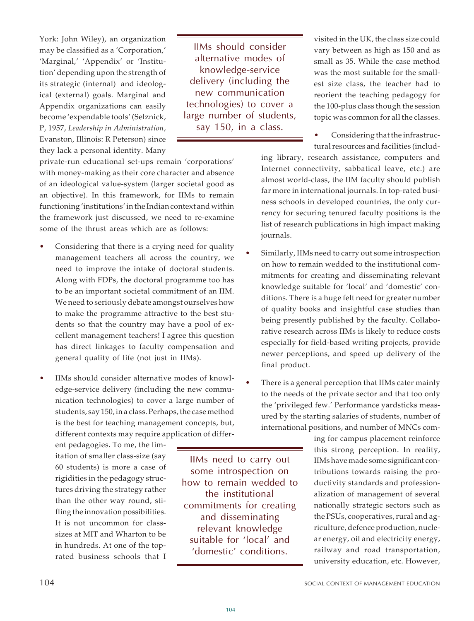York: John Wiley), an organization may be classified as a 'Corporation,' 'Marginal,' 'Appendix' or 'Institution' depending upon the strength of its strategic (internal) and ideological (external) goals. Marginal and Appendix organizations can easily become 'expendable tools' (Selznick, P, 1957, *Leadership in Administration*, Evanston, Illinois: R Peterson) since they lack a personal identity. Many

IIMs should consider alternative modes of knowledge-service delivery (including the new communication technologies) to cover a large number of students, say 150, in a class.

private-run educational set-ups remain 'corporations' with money-making as their core character and absence of an ideological value-system (larger societal good as an objective). In this framework, for IIMs to remain functioning 'institutions' in the Indian context and within the framework just discussed, we need to re-examine some of the thrust areas which are as follows:

- Considering that there is a crying need for quality management teachers all across the country, we need to improve the intake of doctoral students. Along with FDPs, the doctoral programme too has to be an important societal commitment of an IIM. We need to seriously debate amongst ourselves how to make the programme attractive to the best students so that the country may have a pool of excellent management teachers! I agree this question has direct linkages to faculty compensation and general quality of life (not just in IIMs).
- IIMs should consider alternative modes of knowledge-service delivery (including the new communication technologies) to cover a large number of students, say 150, in a class. Perhaps, the case method is the best for teaching management concepts, but, different contexts may require application of differ-

ent pedagogies. To me, the limitation of smaller class-size (say 60 students) is more a case of rigidities in the pedagogy structures driving the strategy rather than the other way round, stifling the innovation possibilities. It is not uncommon for classsizes at MIT and Wharton to be in hundreds. At one of the toprated business schools that I

IIMs need to carry out some introspection on how to remain wedded to the institutional commitments for creating and disseminating relevant knowledge suitable for 'local' and 'domestic' conditions.

visited in the UK, the class size could vary between as high as 150 and as small as 35. While the case method was the most suitable for the smallest size class, the teacher had to reorient the teaching pedagogy for the 100-plus class though the session topic was common for all the classes.

Considering that the infrastructural resources and facilities (includ-

ing library, research assistance, computers and Internet connectivity, sabbatical leave, etc.) are almost world-class, the IIM faculty should publish far more in international journals. In top-rated business schools in developed countries, the only currency for securing tenured faculty positions is the list of research publications in high impact making journals.

- Similarly, IIMs need to carry out some introspection on how to remain wedded to the institutional commitments for creating and disseminating relevant knowledge suitable for 'local' and 'domestic' conditions. There is a huge felt need for greater number of quality books and insightful case studies than being presently published by the faculty. Collaborative research across IIMs is likely to reduce costs especially for field-based writing projects, provide newer perceptions, and speed up delivery of the final product.
- There is a general perception that IIMs cater mainly to the needs of the private sector and that too only the 'privileged few.' Performance yardsticks measured by the starting salaries of students, number of international positions, and number of MNCs com-

ing for campus placement reinforce this strong perception. In reality, IIMs have made some significant contributions towards raising the productivity standards and professionalization of management of several nationally strategic sectors such as the PSUs, cooperatives, rural and agriculture, defence production, nuclear energy, oil and electricity energy, railway and road transportation, university education, etc. However,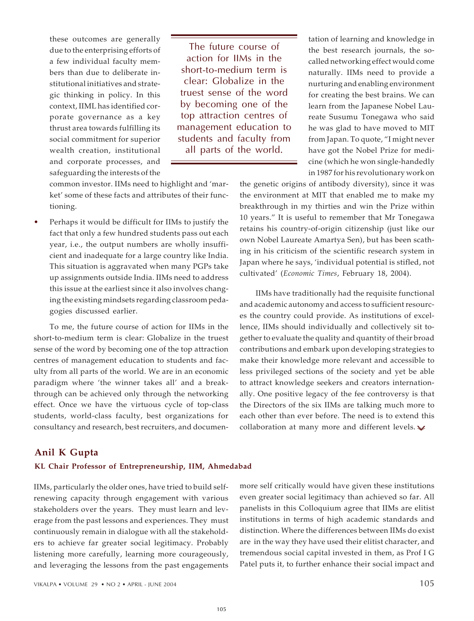these outcomes are generally due to the enterprising efforts of a few individual faculty members than due to deliberate institutional initiatives and strategic thinking in policy. In this context, IIML has identified corporate governance as a key thrust area towards fulfilling its social commitment for superior wealth creation, institutional and corporate processes, and safeguarding the interests of the

The future course of action for IIMs in the short-to-medium term is clear: Globalize in the truest sense of the word by becoming one of the top attraction centres of management education to students and faculty from all parts of the world.

common investor. IIMs need to highlight and 'market' some of these facts and attributes of their functioning.

Perhaps it would be difficult for IIMs to justify the fact that only a few hundred students pass out each year, i.e., the output numbers are wholly insufficient and inadequate for a large country like India. This situation is aggravated when many PGPs take up assignments outside India. IIMs need to address this issue at the earliest since it also involves changing the existing mindsets regarding classroom pedagogies discussed earlier.

To me, the future course of action for IIMs in the short-to-medium term is clear: Globalize in the truest sense of the word by becoming one of the top attraction centres of management education to students and faculty from all parts of the world. We are in an economic paradigm where 'the winner takes all' and a breakthrough can be achieved only through the networking effect. Once we have the virtuous cycle of top-class students, world-class faculty, best organizations for consultancy and research, best recruiters, and documen-

tation of learning and knowledge in the best research journals, the socalled networking effect would come naturally. IIMs need to provide a nurturing and enabling environment for creating the best brains. We can learn from the Japanese Nobel Laureate Susumu Tonegawa who said he was glad to have moved to MIT from Japan. To quote, "I might never have got the Nobel Prize for medicine (which he won single-handedly in 1987 for his revolutionary work on

the genetic origins of antibody diversity), since it was the environment at MIT that enabled me to make my breakthrough in my thirties and win the Prize within 10 years." It is useful to remember that Mr Tonegawa retains his country-of-origin citizenship (just like our own Nobel Laureate Amartya Sen), but has been scathing in his criticism of the scientific research system in Japan where he says, 'individual potential is stifled, not cultivated' (*Economic Times*, February 18, 2004).

IIMs have traditionally had the requisite functional and academic autonomy and access to sufficient resources the country could provide. As institutions of excellence, IIMs should individually and collectively sit together to evaluate the quality and quantity of their broad contributions and embark upon developing strategies to make their knowledge more relevant and accessible to less privileged sections of the society and yet be able to attract knowledge seekers and creators internationally. One positive legacy of the fee controversy is that the Directors of the six IIMs are talking much more to each other than ever before. The need is to extend this collaboration at many more and different levels.  $\blacktriangleright$ 

### **Anil K Gupta**

#### **KL Chair Professor of Entrepreneurship, IIM, Ahmedabad**

IIMs, particularly the older ones, have tried to build selfrenewing capacity through engagement with various stakeholders over the years. They must learn and leverage from the past lessons and experiences. They must continuously remain in dialogue with all the stakeholders to achieve far greater social legitimacy. Probably listening more carefully, learning more courageously, and leveraging the lessons from the past engagements

more self critically would have given these institutions even greater social legitimacy than achieved so far. All panelists in this Colloquium agree that IIMs are elitist institutions in terms of high academic standards and distinction. Where the differences between IIMs do exist are in the way they have used their elitist character, and tremendous social capital invested in them, as Prof I G Patel puts it, to further enhance their social impact and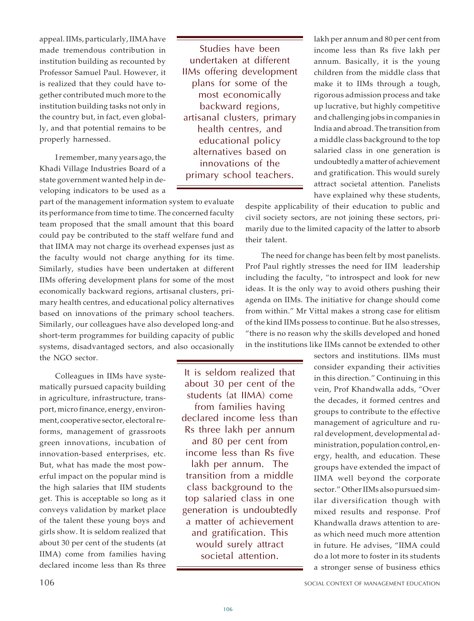appeal. IIMs, particularly, IIMA have made tremendous contribution in institution building as recounted by Professor Samuel Paul. However, it is realized that they could have together contributed much more to the institution building tasks not only in the country but, in fact, even globally, and that potential remains to be properly harnessed.

I remember, many years ago, the Khadi Village Industries Board of a state government wanted help in developing indicators to be used as a

part of the management information system to evaluate its performance from time to time. The concerned faculty team proposed that the small amount that this board could pay be contributed to the staff welfare fund and that IIMA may not charge its overhead expenses just as the faculty would not charge anything for its time. Similarly, studies have been undertaken at different IIMs offering development plans for some of the most economically backward regions, artisanal clusters, primary health centres, and educational policy alternatives based on innovations of the primary school teachers. Similarly, our colleagues have also developed long-and short-term programmes for building capacity of public systems, disadvantaged sectors, and also occasionally the NGO sector.

Colleagues in IIMs have systematically pursued capacity building in agriculture, infrastructure, transport, micro finance, energy, environment, cooperative sector, electoral reforms, management of grassroots green innovations, incubation of innovation-based enterprises, etc. But, what has made the most powerful impact on the popular mind is the high salaries that IIM students get. This is acceptable so long as it conveys validation by market place of the talent these young boys and girls show. It is seldom realized that about 30 per cent of the students (at IIMA) come from families having declared income less than Rs three

Studies have been undertaken at different IIMs offering development plans for some of the most economically backward regions, artisanal clusters, primary health centres, and educational policy alternatives based on innovations of the primary school teachers.

lakh per annum and 80 per cent from income less than Rs five lakh per annum. Basically, it is the young children from the middle class that make it to IIMs through a tough, rigorous admission process and take up lucrative, but highly competitive and challenging jobs in companies in India and abroad. The transition from a middle class background to the top salaried class in one generation is undoubtedly a matter of achievement and gratification. This would surely attract societal attention. Panelists have explained why these students,

despite applicability of their education to public and civil society sectors, are not joining these sectors, primarily due to the limited capacity of the latter to absorb their talent.

The need for change has been felt by most panelists. Prof Paul rightly stresses the need for IIM leadership including the faculty, "to introspect and look for new ideas. It is the only way to avoid others pushing their agenda on IIMs. The initiative for change should come from within." Mr Vittal makes a strong case for elitism of the kind IIMs possess to continue. But he also stresses, "there is no reason why the skills developed and honed in the institutions like IIMs cannot be extended to other

It is seldom realized that about 30 per cent of the students (at IIMA) come from families having declared income less than Rs three lakh per annum and 80 per cent from income less than Rs five lakh per annum. The transition from a middle class background to the top salaried class in one generation is undoubtedly a matter of achievement and gratification. This would surely attract societal attention.

sectors and institutions. IIMs must consider expanding their activities in this direction." Continuing in this vein, Prof Khandwalla adds, "Over the decades, it formed centres and groups to contribute to the effective management of agriculture and rural development, developmental administration, population control, energy, health, and education. These groups have extended the impact of IIMA well beyond the corporate sector." Other IIMs also pursued similar diversification though with mixed results and response. Prof Khandwalla draws attention to areas which need much more attention in future. He advises, "IIMA could do a lot more to foster in its students a stronger sense of business ethics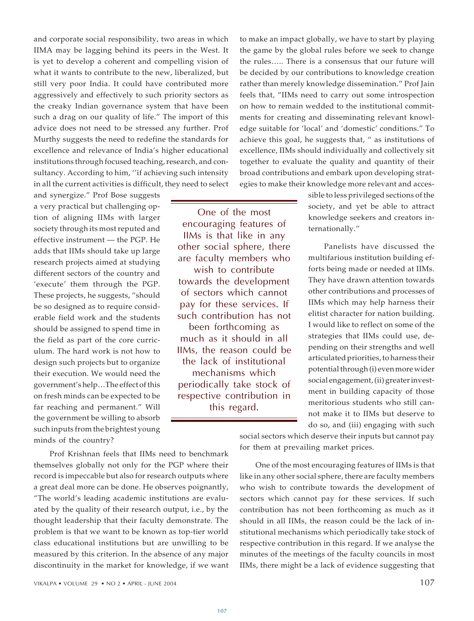and corporate social responsibility, two areas in which IIMA may be lagging behind its peers in the West. It is yet to develop a coherent and compelling vision of what it wants to contribute to the new, liberalized, but still very poor India. It could have contributed more aggressively and effectively to such priority sectors as the creaky Indian governance system that have been such a drag on our quality of life." The import of this advice does not need to be stressed any further. Prof Murthy suggests the need to redefine the standards for excellence and relevance of India's higher educational institutions through focused teaching, research, and consultancy. According to him, ''if achieving such intensity in all the current activities is difficult, they need to select

and synergize." Prof Bose suggests a very practical but challenging option of aligning IIMs with larger society through its most reputed and effective instrument — the PGP. He adds that IIMs should take up large research projects aimed at studying different sectors of the country and 'execute' them through the PGP. These projects, he suggests, "should be so designed as to require considerable field work and the students should be assigned to spend time in the field as part of the core curriculum. The hard work is not how to design such projects but to organize their execution. We would need the government's help…The effect of this on fresh minds can be expected to be far reaching and permanent." Will the government be willing to absorb such inputs from the brightest young minds of the country?

One of the most encouraging features of IIMs is that like in any other social sphere, there are faculty members who wish to contribute towards the development of sectors which cannot pay for these services. If such contribution has not been forthcoming as much as it should in all IIMs, the reason could be the lack of institutional mechanisms which periodically take stock of respective contribution in this regard.

to make an impact globally, we have to start by playing the game by the global rules before we seek to change the rules….. There is a consensus that our future will be decided by our contributions to knowledge creation rather than merely knowledge dissemination." Prof Jain feels that, "IIMs need to carry out some introspection on how to remain wedded to the institutional commitments for creating and disseminating relevant knowledge suitable for 'local' and 'domestic' conditions." To achieve this goal, he suggests that, " as institutions of excellence, IIMs should individually and collectively sit together to evaluate the quality and quantity of their broad contributions and embark upon developing strategies to make their knowledge more relevant and acces-

> sible to less privileged sections of the society, and yet be able to attract knowledge seekers and creators internationally."

> Panelists have discussed the multifarious institution building efforts being made or needed at IIMs. They have drawn attention towards other contributions and processes of IIMs which may help harness their elitist character for nation building. I would like to reflect on some of the strategies that IIMs could use, depending on their strengths and well articulated priorities, to harness their potential through (i) even more wider social engagement, (ii) greater investment in building capacity of those meritorious students who still cannot make it to IIMs but deserve to do so, and (iii) engaging with such

Prof Krishnan feels that IIMs need to benchmark themselves globally not only for the PGP where their record is impeccable but also for research outputs where a great deal more can be done. He observes poignantly, "The world's leading academic institutions are evaluated by the quality of their research output, i.e., by the thought leadership that their faculty demonstrate. The problem is that we want to be known as top-tier world class educational institutions but are unwilling to be measured by this criterion. In the absence of any major discontinuity in the market for knowledge, if we want

social sectors which deserve their inputs but cannot pay for them at prevailing market prices.

One of the most encouraging features of IIMs is that like in any other social sphere, there are faculty members who wish to contribute towards the development of sectors which cannot pay for these services. If such contribution has not been forthcoming as much as it should in all IIMs, the reason could be the lack of institutional mechanisms which periodically take stock of respective contribution in this regard. If we analyse the minutes of the meetings of the faculty councils in most IIMs, there might be a lack of evidence suggesting that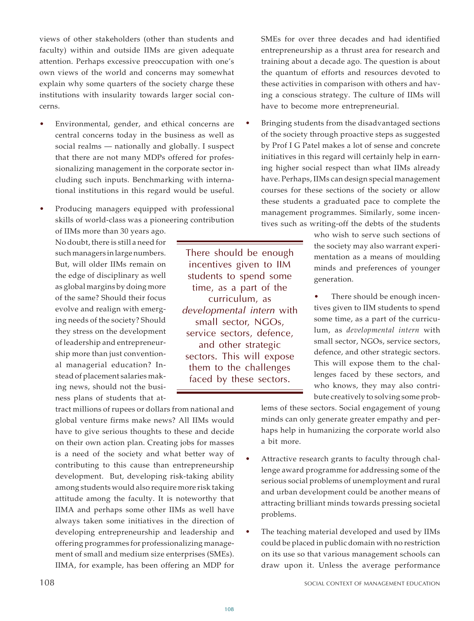views of other stakeholders (other than students and faculty) within and outside IIMs are given adequate attention. Perhaps excessive preoccupation with one's own views of the world and concerns may somewhat explain why some quarters of the society charge these institutions with insularity towards larger social concerns.

- Environmental, gender, and ethical concerns are central concerns today in the business as well as social realms — nationally and globally. I suspect that there are not many MDPs offered for professionalizing management in the corporate sector including such inputs. Benchmarking with international institutions in this regard would be useful.
- Producing managers equipped with professional skills of world-class was a pioneering contribution

of IIMs more than 30 years ago. No doubt, there is still a need for such managers in large numbers. But, will older IIMs remain on the edge of disciplinary as well as global margins by doing more of the same? Should their focus evolve and realign with emerging needs of the society? Should they stress on the development of leadership and entrepreneurship more than just conventional managerial education? Instead of placement salaries making news, should not the business plans of students that at-

tract millions of rupees or dollars from national and global venture firms make news? All IIMs would have to give serious thoughts to these and decide on their own action plan. Creating jobs for masses is a need of the society and what better way of contributing to this cause than entrepreneurship development. But, developing risk-taking ability among students would also require more risk taking attitude among the faculty. It is noteworthy that IIMA and perhaps some other IIMs as well have always taken some initiatives in the direction of developing entrepreneurship and leadership and offering programmes for professionalizing management of small and medium size enterprises (SMEs). IIMA, for example, has been offering an MDP for

There should be enough incentives given to IIM students to spend some time, as a part of the curriculum, as *developmental intern* with small sector, NGOs, service sectors, defence, and other strategic sectors. This will expose them to the challenges faced by these sectors.

SMEs for over three decades and had identified entrepreneurship as a thrust area for research and training about a decade ago. The question is about the quantum of efforts and resources devoted to these activities in comparison with others and having a conscious strategy. The culture of IIMs will have to become more entrepreneurial.

Bringing students from the disadvantaged sections of the society through proactive steps as suggested by Prof I G Patel makes a lot of sense and concrete initiatives in this regard will certainly help in earning higher social respect than what IIMs already have. Perhaps, IIMs can design special management courses for these sections of the society or allow these students a graduated pace to complete the management programmes. Similarly, some incentives such as writing-off the debts of the students

> who wish to serve such sections of the society may also warrant experimentation as a means of moulding minds and preferences of younger generation.

> There should be enough incentives given to IIM students to spend some time, as a part of the curriculum, as *developmental intern* with small sector, NGOs, service sectors, defence, and other strategic sectors. This will expose them to the challenges faced by these sectors, and who knows, they may also contribute creatively to solving some prob-

lems of these sectors. Social engagement of young minds can only generate greater empathy and perhaps help in humanizing the corporate world also a bit more.

- Attractive research grants to faculty through challenge award programme for addressing some of the serious social problems of unemployment and rural and urban development could be another means of attracting brilliant minds towards pressing societal problems.
- The teaching material developed and used by IIMs could be placed in public domain with no restriction on its use so that various management schools can draw upon it. Unless the average performance